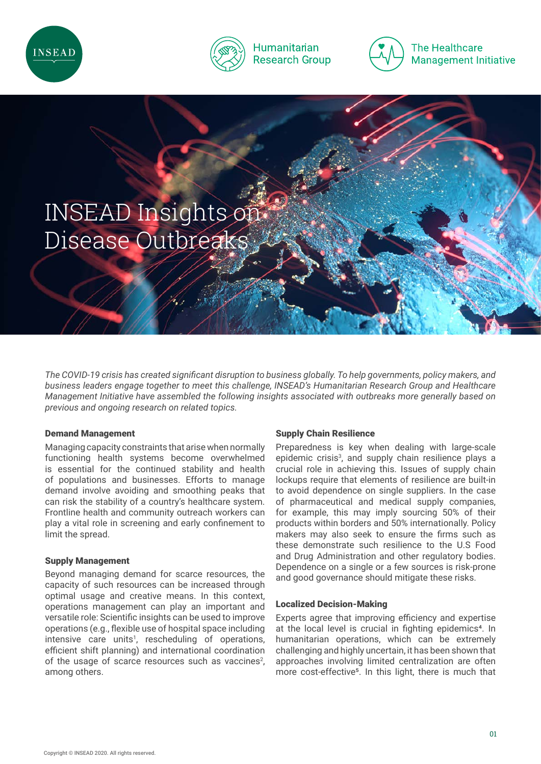



# **Humanitarian Research Group**



**The Healthcare Management Initiative** 



*The COVID-19 crisis has created significant disruption to business globally. To help governments, policy makers, and business leaders engage together to meet this challenge, INSEAD's Humanitarian Research Group and Healthcare Management Initiative have assembled the following insights associated with outbreaks more generally based on previous and ongoing research on related topics.* 

# Demand Management

Managing capacity constraints that arise when normally functioning health systems become overwhelmed is essential for the continued stability and health of populations and businesses. Efforts to manage demand involve avoiding and smoothing peaks that can risk the stability of a country's healthcare system. Frontline health and community outreach workers can play a vital role in screening and early confinement to limit the spread.

# Supply Management

Beyond managing demand for scarce resources, the capacity of such resources can be increased through optimal usage and creative means. In this context, operations management can play an important and versatile role: Scientific insights can be used to improve operations (e.g., flexible use of hospital space including intensive care units<sup>1</sup>, rescheduling of operations, efficient shift planning) and international coordination of the usage of scarce resources such as vaccines<sup>2</sup>, among others.

# Supply Chain Resilience

Preparedness is key when dealing with large-scale epidemic crisis<sup>3</sup>, and supply chain resilience plays a crucial role in achieving this. Issues of supply chain lockups require that elements of resilience are built-in to avoid dependence on single suppliers. In the case of pharmaceutical and medical supply companies, for example, this may imply sourcing 50% of their products within borders and 50% internationally. Policy makers may also seek to ensure the firms such as these demonstrate such resilience to the U.S Food and Drug Administration and other regulatory bodies. Dependence on a single or a few sources is risk-prone and good governance should mitigate these risks.

# Localized Decision-Making

Experts agree that improving efficiency and expertise at the local level is crucial in fighting epidemics<sup>4</sup>. In humanitarian operations, which can be extremely challenging and highly uncertain, it has been shown that approaches involving limited centralization are often more cost-effective<sup>5</sup>. In this light, there is much that